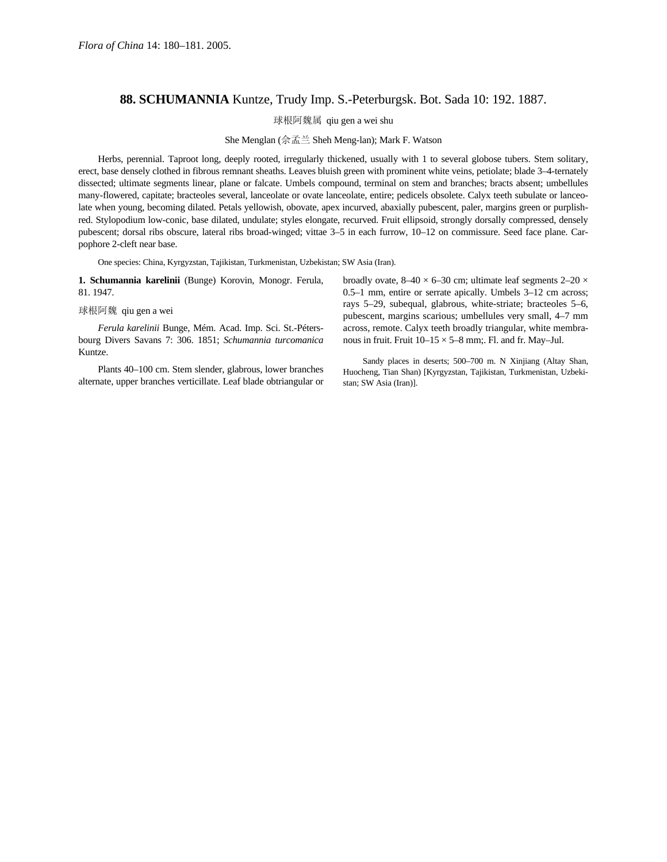## **88. SCHUMANNIA** Kuntze, Trudy Imp. S.-Peterburgsk. Bot. Sada 10: 192. 1887.

球根阿魏属 qiu gen a wei shu

She Menglan (佘孟兰 Sheh Meng-lan); Mark F. Watson

Herbs, perennial. Taproot long, deeply rooted, irregularly thickened, usually with 1 to several globose tubers. Stem solitary, erect, base densely clothed in fibrous remnant sheaths. Leaves bluish green with prominent white veins, petiolate; blade 3–4-ternately dissected; ultimate segments linear, plane or falcate. Umbels compound, terminal on stem and branches; bracts absent; umbellules many-flowered, capitate; bracteoles several, lanceolate or ovate lanceolate, entire; pedicels obsolete. Calyx teeth subulate or lanceolate when young, becoming dilated. Petals yellowish, obovate, apex incurved, abaxially pubescent, paler, margins green or purplishred. Stylopodium low-conic, base dilated, undulate; styles elongate, recurved. Fruit ellipsoid, strongly dorsally compressed, densely pubescent; dorsal ribs obscure, lateral ribs broad-winged; vittae 3–5 in each furrow, 10–12 on commissure. Seed face plane. Carpophore 2-cleft near base.

One species: China, Kyrgyzstan, Tajikistan, Turkmenistan, Uzbekistan; SW Asia (Iran).

**1. Schumannia karelinii** (Bunge) Korovin, Monogr. Ferula, 81. 1947.

## 球根阿魏 qiu gen a wei

*Ferula karelinii* Bunge, Mém. Acad. Imp. Sci. St.-Pétersbourg Divers Savans 7: 306. 1851; *Schumannia turcomanica* Kuntze.

Plants 40–100 cm. Stem slender, glabrous, lower branches alternate, upper branches verticillate. Leaf blade obtriangular or

broadly ovate,  $8-40 \times 6-30$  cm; ultimate leaf segments  $2-20 \times$ 0.5–1 mm, entire or serrate apically. Umbels 3–12 cm across; rays 5–29, subequal, glabrous, white-striate; bracteoles 5–6, pubescent, margins scarious; umbellules very small, 4–7 mm across, remote. Calyx teeth broadly triangular, white membranous in fruit. Fruit  $10-15 \times 5-8$  mm;. Fl. and fr. May-Jul.

Sandy places in deserts; 500–700 m. N Xinjiang (Altay Shan, Huocheng, Tian Shan) [Kyrgyzstan, Tajikistan, Turkmenistan, Uzbekistan; SW Asia (Iran)].